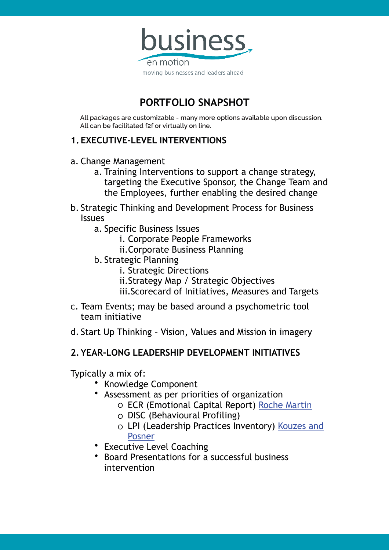

# **PORTFOLIO SNAPSHOT**

**All packages are customizable - many more options available upon discussion. All can be facilitated f2f or virtually on line.**

## **1.EXECUTIVE-LEVEL INTERVENTIONS**

- a. Change Management
	- a. Training Interventions to support a change strategy, targeting the Executive Sponsor, the Change Team and the Employees, further enabling the desired change
- b. Strategic Thinking and Development Process for Business Issues
	- a. Specific Business Issues
		- i. Corporate People Frameworks
		- ii.Corporate Business Planning
	- b. Strategic Planning
		- i. Strategic Directions
		- ii.Strategy Map / Strategic Objectives
		- iii.Scorecard of Initiatives, Measures and Targets
- c. Team Events; may be based around a psychometric tool team initiative
- d. Start Up Thinking Vision, Values and Mission in imagery

## **2.YEAR-LONG LEADERSHIP DEVELOPMENT INITIATIVES**

Typically a mix of:

- Knowledge Component
- Assessment as per priorities of organization
	- o ECR (Emotional Capital Report) Roche Martin
	- o DISC (Behavioural Profiling)
	- o LPI (Leadership Practices Inventory) Kouzes and Posner
- Executive Level Coaching
- Board Presentations for a successful business intervention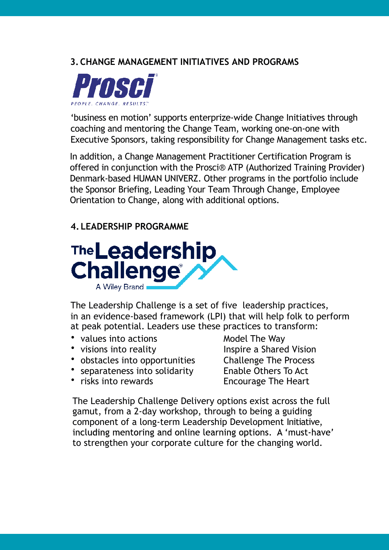## **3.CHANGE MANAGEMENT INITIATIVES AND PROGRAMS**



'business en motion' supports enterprize-wide Change Initiatives through coaching and mentoring the Change Team, working one-on-one with Executive Sponsors, taking responsibility for Change Management tasks etc.

In addition, a Change Management Practitioner Certification Program is offered in conjunction with the Prosci® ATP (Authorized Training Provider) Denmark-based HUMAN UNIVERZ. Other programs in the portfolio include the Sponsor Briefing, Leading Your Team Through Change, Employee Orientation to Change, along with additional options.

## **4.LEADERSHIP PROGRAMME**



The Leadership Challenge is a set of five leadership practices, in an evidence-based framework (LPI) that will help folk to perform at peak potential. Leaders use these practices to transform:

- values into actions **Model The Way**
- 
- obstacles into opportunities Challenge The Process
- separateness into solidarity Enable Others To Act
- 

• visions into reality **Inspire a Shared Vision** • risks into rewards **Encourage The Heart** 

The Leadership Challenge Delivery options exist across the full gamut, from a 2-day workshop, through to being a guiding component of a long-term Leadership Development Initiative, including mentoring and online learning options. A 'must-have' to strengthen your corporate culture for the changing world.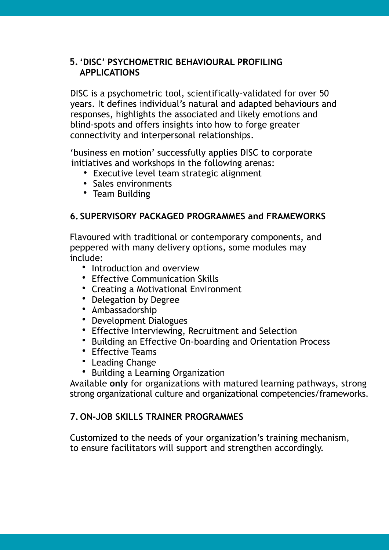#### **5. 'DISC' PSYCHOMETRIC BEHAVIOURAL PROFILING APPLICATIONS**

DISC is a psychometric tool, scientifically-validated for over 50 years. It defines individual's natural and adapted behaviours and responses, highlights the associated and likely emotions and blind-spots and offers insights into how to forge greater connectivity and interpersonal relationships.

'business en motion' successfully applies DISC to corporate initiatives and workshops in the following arenas:

- Executive level team strategic alignment
- Sales environments
- Team Building

#### **6.SUPERVISORY PACKAGED PROGRAMMES and FRAMEWORKS**

Flavoured with traditional or contemporary components, and peppered with many delivery options, some modules may include:

- Introduction and overview
- Effective Communication Skills
- Creating a Motivational Environment
- Delegation by Degree
- Ambassadorship
- Development Dialogues
- Effective Interviewing, Recruitment and Selection
- Building an Effective On-boarding and Orientation Process
- Fffective Teams
- Leading Change
- Building a Learning Organization

Available **only** for organizations with matured learning pathways, strong strong organizational culture and organizational competencies/frameworks.

#### **7.ON-JOB SKILLS TRAINER PROGRAMMES**

to ensure facilitators will support and strengthen accordingly. Customized to the needs of your organization's training mechanism,